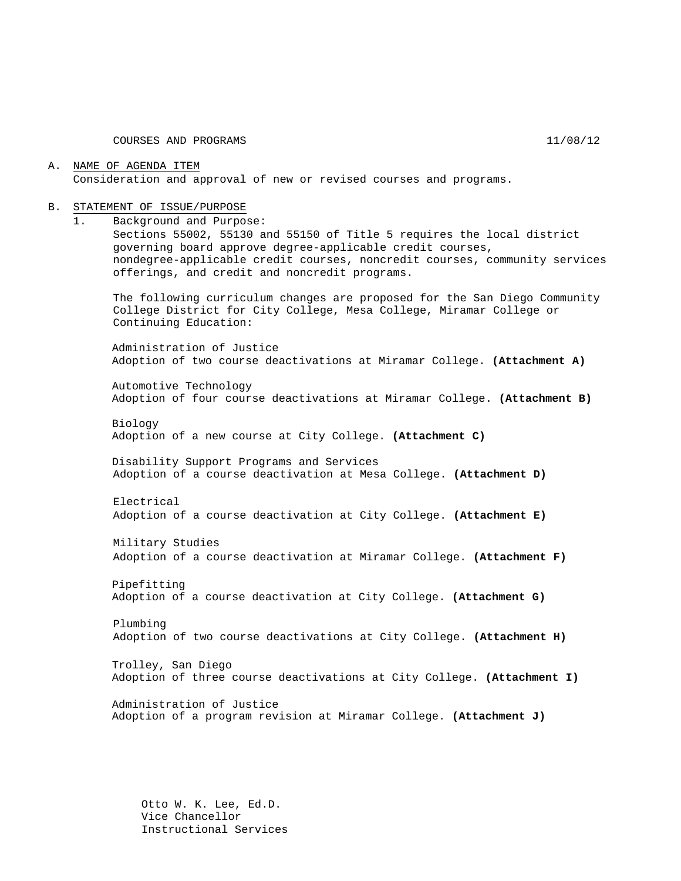COURSES AND PROGRAMS 11/08/12

#### A. NAME OF AGENDA ITEM Consideration and approval of new or revised courses and programs.

#### B. STATEMENT OF ISSUE/PURPOSE

1. Background and Purpose:

Sections 55002, 55130 and 55150 of Title 5 requires the local district governing board approve degree-applicable credit courses, nondegree-applicable credit courses, noncredit courses, community services offerings, and credit and noncredit programs.

The following curriculum changes are proposed for the San Diego Community College District for City College, Mesa College, Miramar College or Continuing Education:

Administration of Justice Adoption of two course deactivations at Miramar College. **(Attachment A)**

Automotive Technology Adoption of four course deactivations at Miramar College. **(Attachment B)**

Biology Adoption of a new course at City College. **(Attachment C)**

Disability Support Programs and Services Adoption of a course deactivation at Mesa College. **(Attachment D)**

Electrical Adoption of a course deactivation at City College. **(Attachment E)**

Military Studies Adoption of a course deactivation at Miramar College. **(Attachment F)**

Pipefitting Adoption of a course deactivation at City College. **(Attachment G)**

Plumbing Adoption of two course deactivations at City College. **(Attachment H)**

Trolley, San Diego Adoption of three course deactivations at City College. **(Attachment I)**

Administration of Justice Adoption of a program revision at Miramar College. **(Attachment J)**

Otto W. K. Lee, Ed.D. Vice Chancellor Instructional Services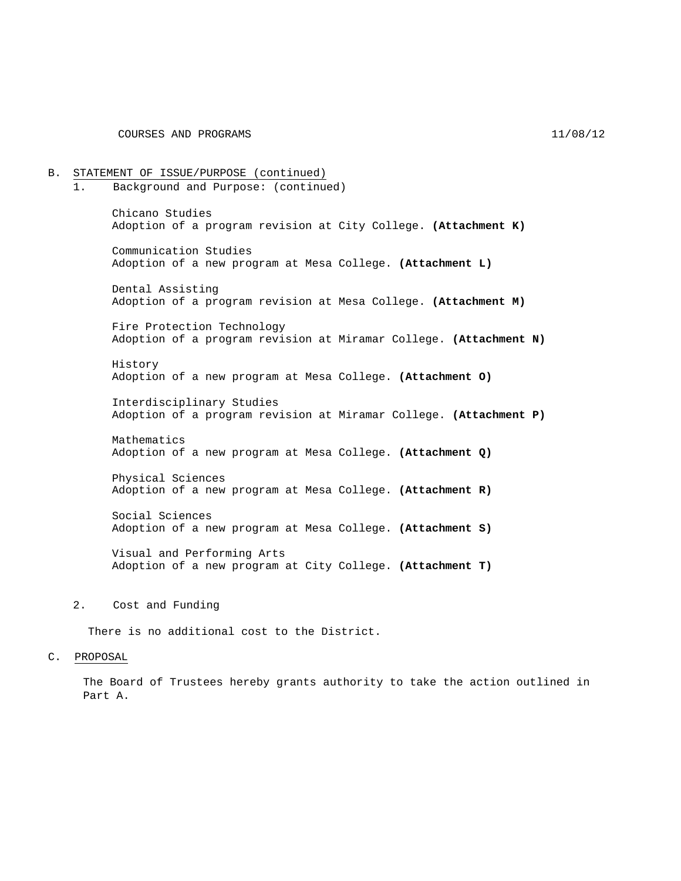COURSES AND PROGRAMS 11/08/12

B. STATEMENT OF ISSUE/PURPOSE (continued) 1. Background and Purpose: (continued) Chicano Studies Adoption of a program revision at City College. **(Attachment K)** Communication Studies Adoption of a new program at Mesa College. **(Attachment L)** Dental Assisting Adoption of a program revision at Mesa College. **(Attachment M)** Fire Protection Technology Adoption of a program revision at Miramar College. **(Attachment N)** History Adoption of a new program at Mesa College. **(Attachment O)** Interdisciplinary Studies Adoption of a program revision at Miramar College. **(Attachment P)** Mathematics Adoption of a new program at Mesa College. **(Attachment Q)** Physical Sciences Adoption of a new program at Mesa College. **(Attachment R)** Social Sciences Adoption of a new program at Mesa College. **(Attachment S)** Visual and Performing Arts Adoption of a new program at City College. **(Attachment T)**

#### 2. Cost and Funding

There is no additional cost to the District.

#### C. PROPOSAL

The Board of Trustees hereby grants authority to take the action outlined in Part A.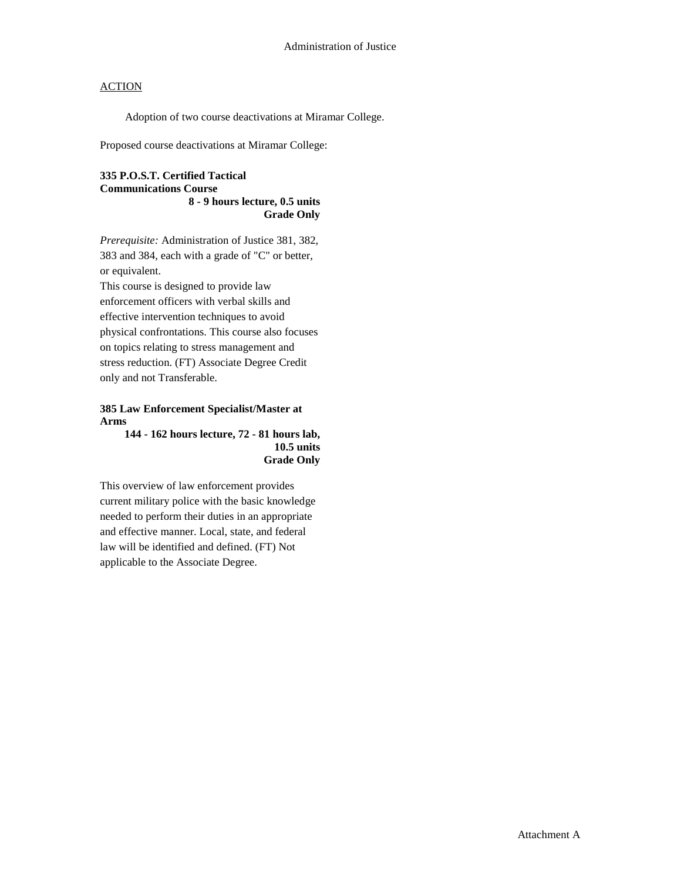Adoption of two course deactivations at Miramar College.

Proposed course deactivations at Miramar College:

#### **335 P.O.S.T. Certified Tactical Communications Course 8 - 9 hours lecture, 0.5 units Grade Only**

*Prerequisite:* Administration of Justice 381, 382, 383 and 384, each with a grade of "C" or better, or equivalent.

This course is designed to provide law enforcement officers with verbal skills and effective intervention techniques to avoid physical confrontations. This course also focuses on topics relating to stress management and stress reduction. (FT) Associate Degree Credit only and not Transferable.

#### **385 Law Enforcement Specialist/Master at Arms**

**144 - 162 hours lecture, 72 - 81 hours lab, 10.5 units Grade Only** 

This overview of law enforcement provides current military police with the basic knowledge needed to perform their duties in an appropriate and effective manner. Local, state, and federal law will be identified and defined. (FT) Not applicable to the Associate Degree.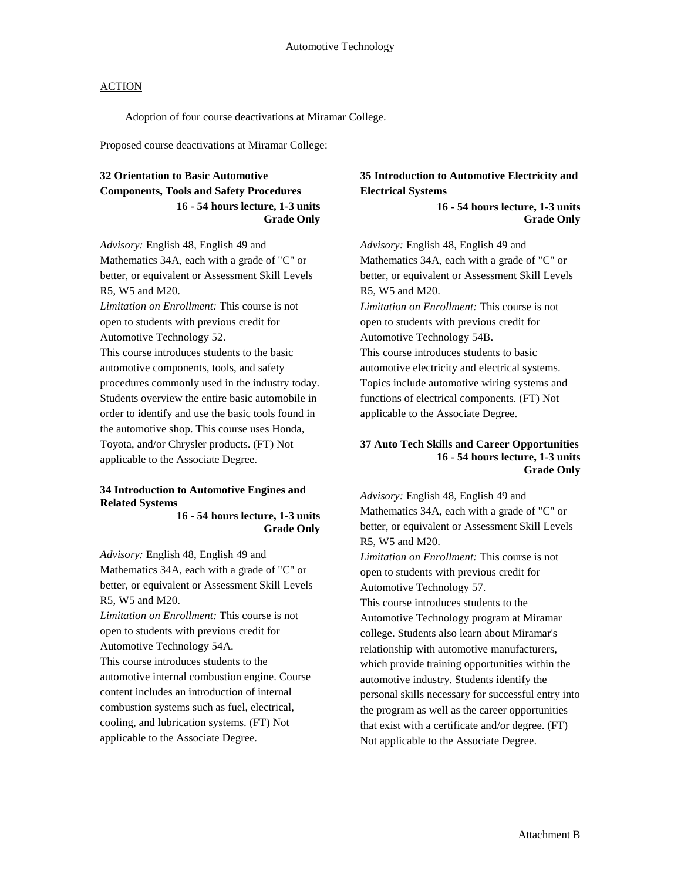Adoption of four course deactivations at Miramar College.

Proposed course deactivations at Miramar College:

## **32 Orientation to Basic Automotive Components, Tools and Safety Procedures 16 - 54 hours lecture, 1-3 units Grade Only**

*Advisory:* English 48, English 49 and Mathematics 34A, each with a grade of "C" or better, or equivalent or Assessment Skill Levels R5, W5 and M20.

*Limitation on Enrollment:* This course is not open to students with previous credit for Automotive Technology 52.

This course introduces students to the basic automotive components, tools, and safety procedures commonly used in the industry today. Students overview the entire basic automobile in order to identify and use the basic tools found in the automotive shop. This course uses Honda, Toyota, and/or Chrysler products. (FT) Not applicable to the Associate Degree.

#### **34 Introduction to Automotive Engines and Related Systems**

**16 - 54 hours lecture, 1-3 units Grade Only** 

*Advisory:* English 48, English 49 and Mathematics 34A, each with a grade of "C" or better, or equivalent or Assessment Skill Levels R5, W5 and M20.

*Limitation on Enrollment:* This course is not open to students with previous credit for Automotive Technology 54A. This course introduces students to the automotive internal combustion engine. Course

content includes an introduction of internal combustion systems such as fuel, electrical, cooling, and lubrication systems. (FT) Not applicable to the Associate Degree.

## **35 Introduction to Automotive Electricity and Electrical Systems**

**16 - 54 hours lecture, 1-3 units Grade Only** 

*Advisory:* English 48, English 49 and Mathematics 34A, each with a grade of "C" or better, or equivalent or Assessment Skill Levels R5, W5 and M20. *Limitation on Enrollment:* This course is not open to students with previous credit for Automotive Technology 54B. This course introduces students to basic automotive electricity and electrical systems. Topics include automotive wiring systems and functions of electrical components. (FT) Not applicable to the Associate Degree.

#### **37 Auto Tech Skills and Career Opportunities 16 - 54 hours lecture, 1-3 units Grade Only**

*Advisory:* English 48, English 49 and Mathematics 34A, each with a grade of "C" or better, or equivalent or Assessment Skill Levels R5, W5 and M20.

*Limitation on Enrollment:* This course is not open to students with previous credit for Automotive Technology 57.

This course introduces students to the Automotive Technology program at Miramar college. Students also learn about Miramar's relationship with automotive manufacturers, which provide training opportunities within the automotive industry. Students identify the personal skills necessary for successful entry into the program as well as the career opportunities that exist with a certificate and/or degree. (FT) Not applicable to the Associate Degree.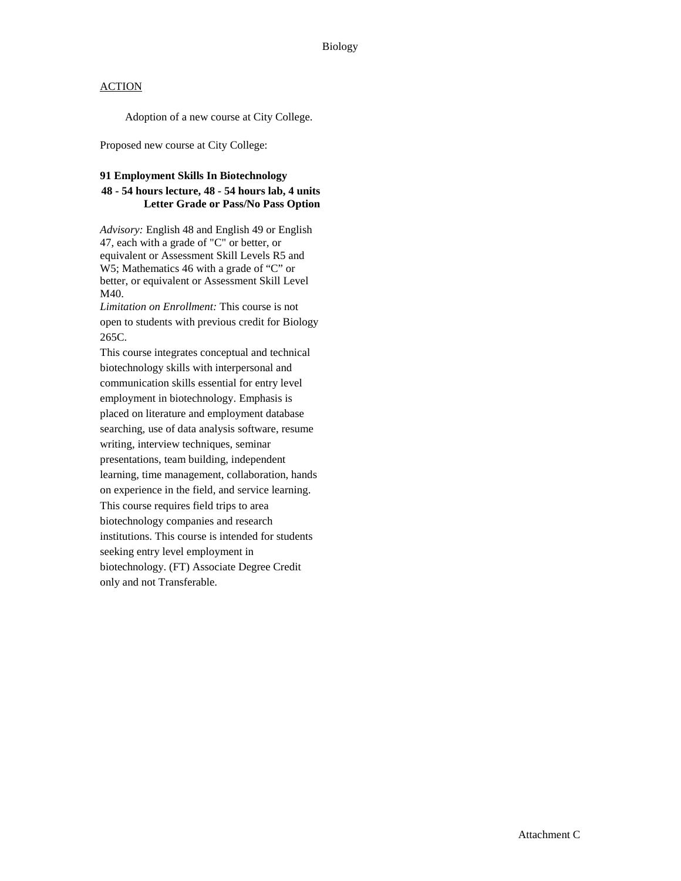Adoption of a new course at City College.

Proposed new course at City College:

#### **91 Employment Skills In Biotechnology**

### **48 - 54 hours lecture, 48 - 54 hours lab, 4 units Letter Grade or Pass/No Pass Option**

*Advisory:* English 48 and English 49 or English 47, each with a grade of "C" or better, or equivalent or Assessment Skill Levels R5 and W5; Mathematics 46 with a grade of "C" or better, or equivalent or Assessment Skill Level M40.

*Limitation on Enrollment:* This course is not open to students with previous credit for Biology 265C.

This course integrates conceptual and technical biotechnology skills with interpersonal and communication skills essential for entry level employment in biotechnology. Emphasis is placed on literature and employment database searching, use of data analysis software, resume writing, interview techniques, seminar presentations, team building, independent learning, time management, collaboration, hands on experience in the field, and service learning. This course requires field trips to area biotechnology companies and research institutions. This course is intended for students seeking entry level employment in biotechnology. (FT) Associate Degree Credit only and not Transferable.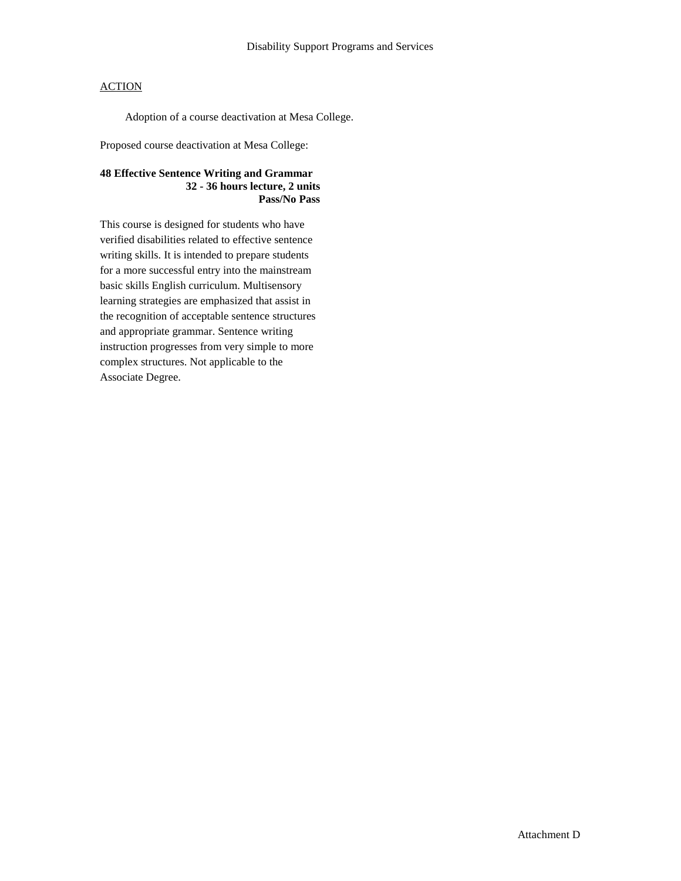Adoption of a course deactivation at Mesa College.

Proposed course deactivation at Mesa College:

### **48 Effective Sentence Writing and Grammar 32 - 36 hours lecture, 2 units Pass/No Pass**

This course is designed for students who have verified disabilities related to effective sentence writing skills. It is intended to prepare students for a more successful entry into the mainstream basic skills English curriculum. Multisensory learning strategies are emphasized that assist in the recognition of acceptable sentence structures and appropriate grammar. Sentence writing instruction progresses from very simple to more complex structures. Not applicable to the Associate Degree.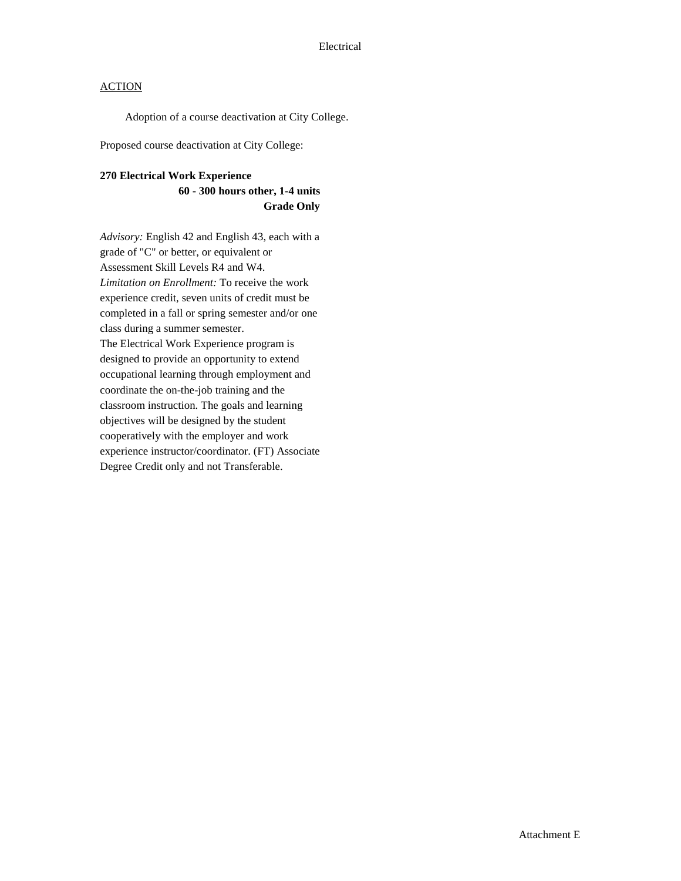Adoption of a course deactivation at City College.

Proposed course deactivation at City College:

#### **270 Electrical Work Experience**

### **60 - 300 hours other, 1-4 units Grade Only**

*Advisory:* English 42 and English 43, each with a grade of "C" or better, or equivalent or Assessment Skill Levels R4 and W4. *Limitation on Enrollment:* To receive the work experience credit, seven units of credit must be completed in a fall or spring semester and/or one class during a summer semester. The Electrical Work Experience program is designed to provide an opportunity to extend occupational learning through employment and coordinate the on-the-job training and the classroom instruction. The goals and learning objectives will be designed by the student cooperatively with the employer and work experience instructor/coordinator. (FT) Associate Degree Credit only and not Transferable.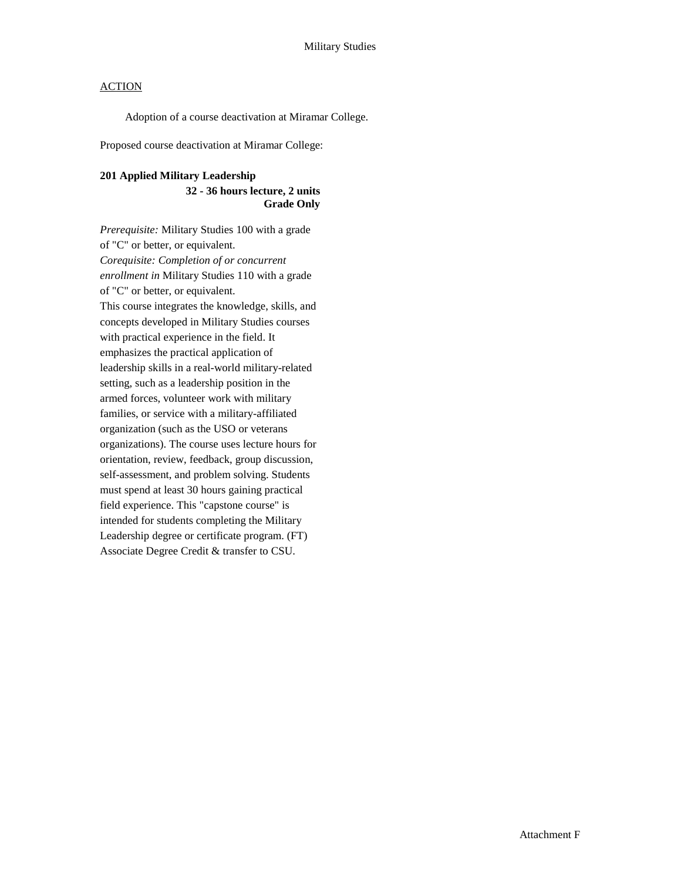Adoption of a course deactivation at Miramar College.

Proposed course deactivation at Miramar College:

#### **201 Applied Military Leadership**

#### **32 - 36 hours lecture, 2 units Grade Only**

*Prerequisite:* Military Studies 100 with a grade of "C" or better, or equivalent. *Corequisite: Completion of or concurrent enrollment in* Military Studies 110 with a grade of "C" or better, or equivalent. This course integrates the knowledge, skills, and concepts developed in Military Studies courses with practical experience in the field. It emphasizes the practical application of leadership skills in a real-world military-related setting, such as a leadership position in the armed forces, volunteer work with military families, or service with a military-affiliated organization (such as the USO or veterans organizations). The course uses lecture hours for orientation, review, feedback, group discussion, self-assessment, and problem solving. Students must spend at least 30 hours gaining practical field experience. This "capstone course" is intended for students completing the Military Leadership degree or certificate program. (FT) Associate Degree Credit & transfer to CSU.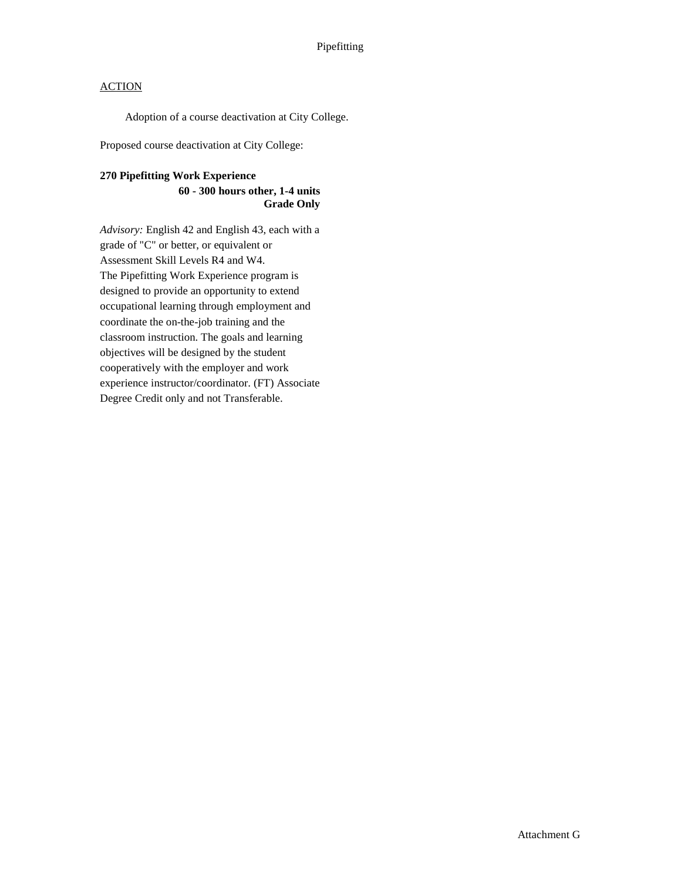Adoption of a course deactivation at City College.

Proposed course deactivation at City College:

### **270 Pipefitting Work Experience**

#### **60 - 300 hours other, 1-4 units Grade Only**

*Advisory:* English 42 and English 43, each with a grade of "C" or better, or equivalent or Assessment Skill Levels R4 and W4. The Pipefitting Work Experience program is designed to provide an opportunity to extend occupational learning through employment and coordinate the on-the-job training and the classroom instruction. The goals and learning objectives will be designed by the student cooperatively with the employer and work experience instructor/coordinator. (FT) Associate Degree Credit only and not Transferable.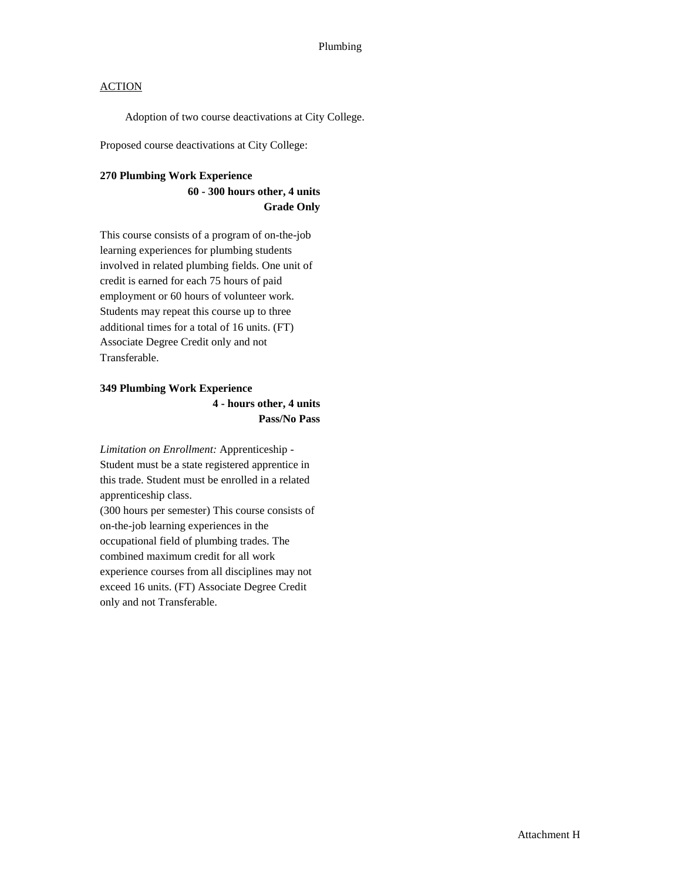Adoption of two course deactivations at City College.

Proposed course deactivations at City College:

#### **270 Plumbing Work Experience**

### **60 - 300 hours other, 4 units Grade Only**

This course consists of a program of on-the-job learning experiences for plumbing students involved in related plumbing fields. One unit of credit is earned for each 75 hours of paid employment or 60 hours of volunteer work. Students may repeat this course up to three additional times for a total of 16 units. (FT) Associate Degree Credit only and not Transferable.

## **349 Plumbing Work Experience 4 - hours other, 4 units Pass/No Pass**

*Limitation on Enrollment:* Apprenticeship - Student must be a state registered apprentice in this trade. Student must be enrolled in a related apprenticeship class.

(300 hours per semester) This course consists of on-the-job learning experiences in the occupational field of plumbing trades. The combined maximum credit for all work experience courses from all disciplines may not exceed 16 units. (FT) Associate Degree Credit only and not Transferable.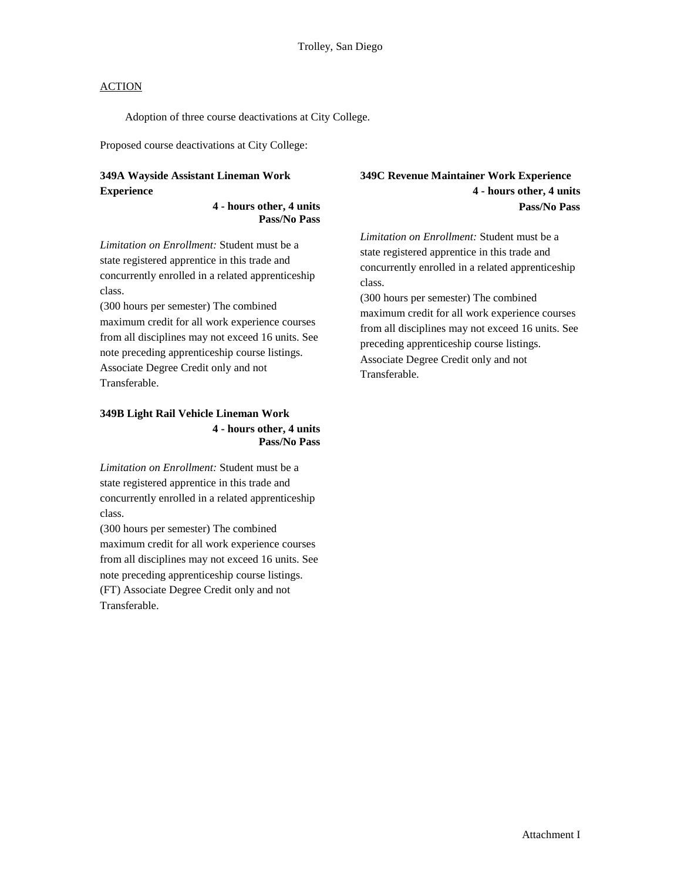Adoption of three course deactivations at City College.

Proposed course deactivations at City College:

## **349A Wayside Assistant Lineman Work Experience**

#### **4 - hours other, 4 units Pass/No Pass**

*Limitation on Enrollment:* Student must be a state registered apprentice in this trade and concurrently enrolled in a related apprenticeship class.

(300 hours per semester) The combined maximum credit for all work experience courses from all disciplines may not exceed 16 units. See note preceding apprenticeship course listings. Associate Degree Credit only and not Transferable.

#### **349B Light Rail Vehicle Lineman Work 4 - hours other, 4 units Pass/No Pass**

*Limitation on Enrollment:* Student must be a state registered apprentice in this trade and concurrently enrolled in a related apprenticeship class.

(300 hours per semester) The combined maximum credit for all work experience courses from all disciplines may not exceed 16 units. See note preceding apprenticeship course listings. (FT) Associate Degree Credit only and not Transferable.

### **349C Revenue Maintainer Work Experience 4 - hours other, 4 units Pass/No Pass**

*Limitation on Enrollment:* Student must be a state registered apprentice in this trade and concurrently enrolled in a related apprenticeship class.

(300 hours per semester) The combined maximum credit for all work experience courses from all disciplines may not exceed 16 units. See preceding apprenticeship course listings. Associate Degree Credit only and not Transferable.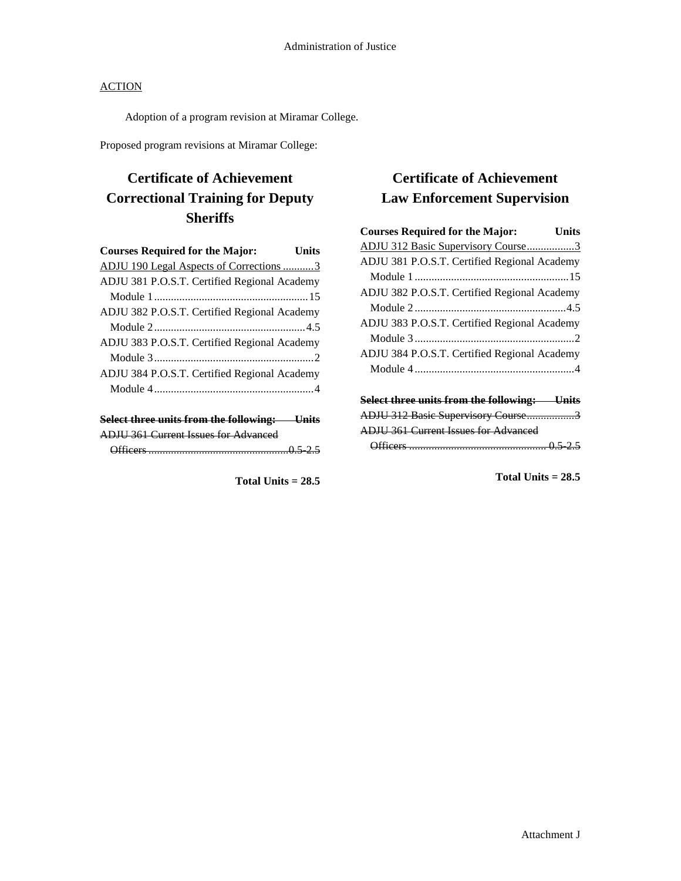Adoption of a program revision at Miramar College.

Proposed program revisions at Miramar College:

## **Certificate of Achievement Correctional Training for Deputy Sheriffs**

| <b>Courses Required for the Major:</b>       | Units |
|----------------------------------------------|-------|
| ADJU 190 Legal Aspects of Corrections 3      |       |
| ADJU 381 P.O.S.T. Certified Regional Academy |       |
|                                              |       |
| ADJU 382 P.O.S.T. Certified Regional Academy |       |
|                                              |       |
| ADJU 383 P.O.S.T. Certified Regional Academy |       |
|                                              |       |
| ADJU 384 P.O.S.T. Certified Regional Academy |       |
|                                              |       |
| Select three units from the following: Units |       |

|                   | <b>ADJU 361 Current Issues for Advanced</b> |      |  |
|-------------------|---------------------------------------------|------|--|
|                   |                                             |      |  |
|                   |                                             |      |  |
| $\bigcap$ fficare |                                             | 0525 |  |
|                   |                                             |      |  |

**Total Units = 28.5**

# **Certificate of Achievement Law Enforcement Supervision**

| <b>Courses Required for the Major:</b>              | Units |
|-----------------------------------------------------|-------|
| ADJU 312 Basic Supervisory Course3                  |       |
| ADJU 381 P.O.S.T. Certified Regional Academy        |       |
|                                                     |       |
| ADJU 382 P.O.S.T. Certified Regional Academy        |       |
|                                                     |       |
| ADJU 383 P.O.S.T. Certified Regional Academy        |       |
|                                                     |       |
| ADJU 384 P.O.S.T. Certified Regional Academy        |       |
|                                                     |       |
|                                                     |       |
| <b>Select three units from the following:</b> Units |       |
| ADJU 312 Basic Supervisory Course3                  |       |
| <b>ADJU 361 Current Issues for Advanced</b>         |       |
|                                                     |       |
|                                                     |       |

**Total Units = 28.5**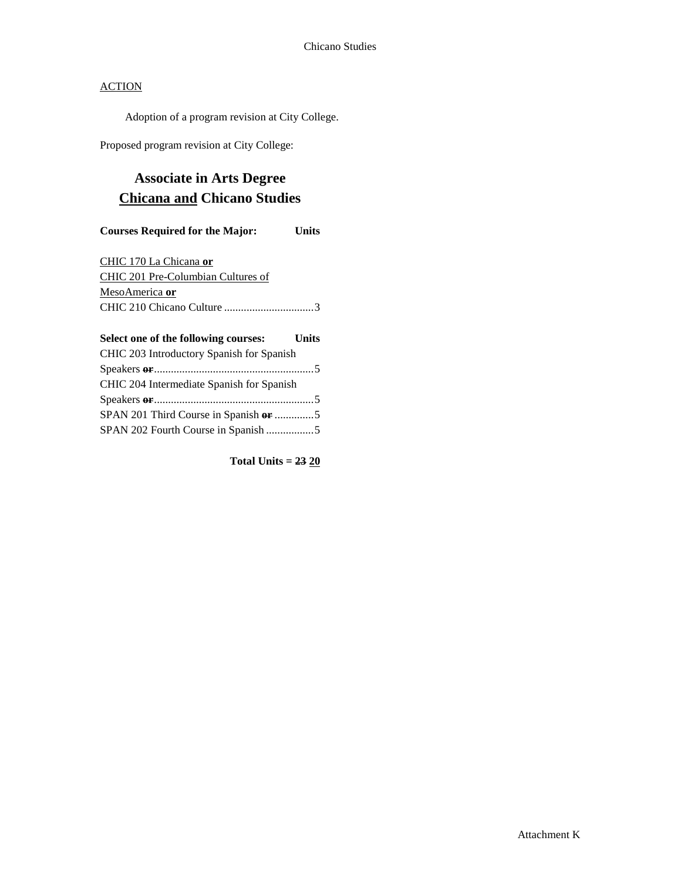Adoption of a program revision at City College.

Proposed program revision at City College:

## **Associate in Arts Degree Chicana and Chicano Studies**

### **Courses Required for the Major: Units**

CHIC 170 La Chicana **or** CHIC 201 Pre-Columbian Cultures of MesoAmerica **or** CHIC 210 Chicano Culture ................................3

## **Select one of the following courses: Units** CHIC 203 Introductory Spanish for Spanish Speakers **or**.........................................................5 CHIC 204 Intermediate Spanish for Spanish Speakers **or**.........................................................5 SPAN 201 Third Course in Spanish **or** ..............5 SPAN 202 Fourth Course in Spanish .................5

**Total Units = 23 20**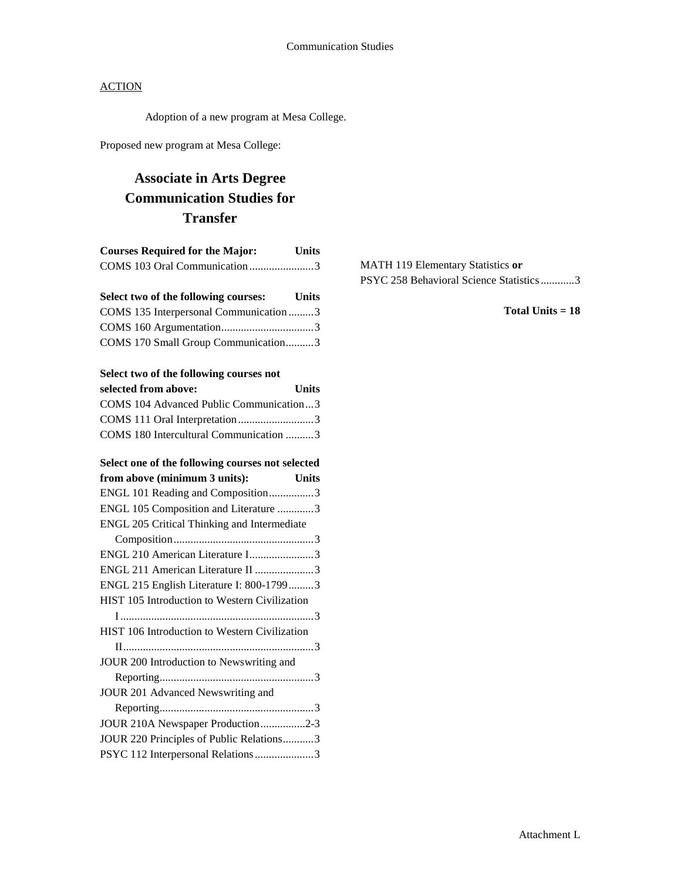Adoption of a new program at Mesa College.

Proposed new program at Mesa College:

# **Associate in Arts Degree Communication Studies for Transfer**

| <b>Courses Required for the Major:</b> | <b>Units</b> |
|----------------------------------------|--------------|
| COMS 103 Oral Communication3           |              |

| Select two of the following courses:   | Units |
|----------------------------------------|-------|
| COMS 135 Interpersonal Communication 3 |       |
|                                        |       |
| COMS 170 Small Group Communication3    |       |

### **Select two of the following courses not**

| selected from above:                    | <b>Units</b> |
|-----------------------------------------|--------------|
| COMS 104 Advanced Public Communication3 |              |
| COMS 111 Oral Interpretation3           |              |
| COMS 180 Intercultural Communication 3  |              |

| Select one of the following courses not selected     |  |
|------------------------------------------------------|--|
| from above (minimum 3 units):<br><b>Units</b>        |  |
| ENGL 101 Reading and Composition3                    |  |
| ENGL 105 Composition and Literature 3                |  |
| ENGL 205 Critical Thinking and Intermediate          |  |
|                                                      |  |
| ENGL 210 American Literature I3                      |  |
| ENGL 211 American Literature II 3                    |  |
| ENGL 215 English Literature I: 800-17993             |  |
| <b>HIST 105 Introduction to Western Civilization</b> |  |
|                                                      |  |
| HIST 106 Introduction to Western Civilization        |  |
|                                                      |  |
| JOUR 200 Introduction to Newswriting and             |  |
|                                                      |  |
| JOUR 201 Advanced Newswriting and                    |  |
|                                                      |  |
| JOUR 210A Newspaper Production2-3                    |  |
| JOUR 220 Principles of Public Relations3             |  |
| PSYC 112 Interpersonal Relations 3                   |  |

MATH 119 Elementary Statistics **or** PSYC 258 Behavioral Science Statistics............3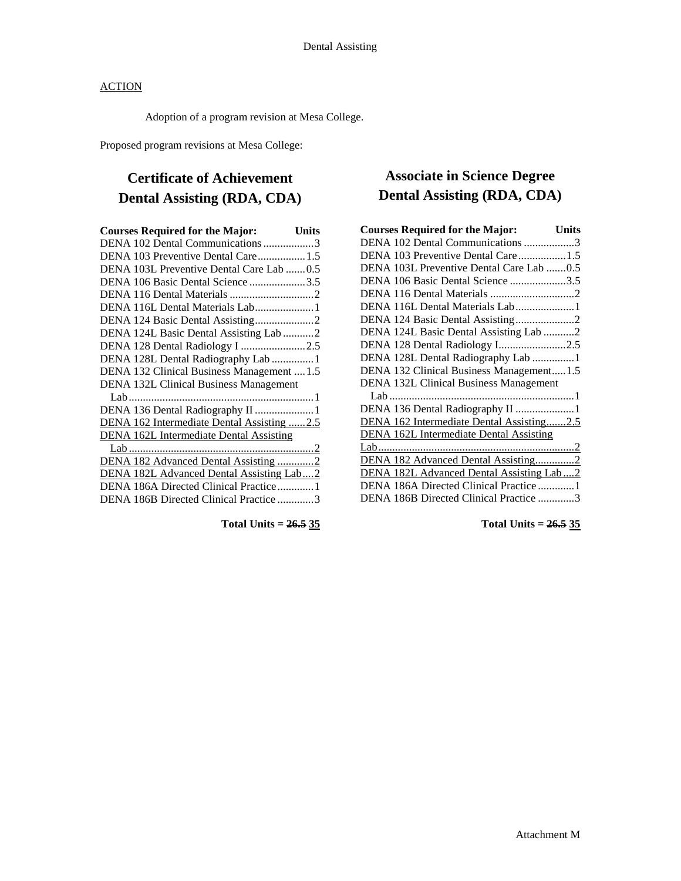Adoption of a program revision at Mesa College.

Proposed program revisions at Mesa College:

## **Certificate of Achievement Dental Assisting (RDA, CDA)**

| <b>Courses Required for the Major:</b>         | <b>Units</b> |
|------------------------------------------------|--------------|
| DENA 102 Dental Communications 3               |              |
| DENA 103 Preventive Dental Care1.5             |              |
| DENA 103L Preventive Dental Care Lab 0.5       |              |
| DENA 106 Basic Dental Science 3.5              |              |
|                                                |              |
|                                                |              |
|                                                |              |
| DENA 124L Basic Dental Assisting Lab 2         |              |
| DENA 128 Dental Radiology I 2.5                |              |
| DENA 128L Dental Radiography Lab 1             |              |
| DENA 132 Clinical Business Management  1.5     |              |
| DENA 132L Clinical Business Management         |              |
|                                                |              |
| DENA 136 Dental Radiography II  1              |              |
| DENA 162 Intermediate Dental Assisting 2.5     |              |
| <b>DENA 162L Intermediate Dental Assisting</b> |              |
|                                                |              |
| DENA 182 Advanced Dental Assisting 2           |              |
| DENA 182L Advanced Dental Assisting Lab2       |              |
| DENA 186A Directed Clinical Practice1          |              |
| DENA 186B Directed Clinical Practice 3         |              |
|                                                |              |

**Total Units = 26.5 35**

## **Associate in Science Degree Dental Assisting (RDA, CDA)**

| <b>Courses Required for the Major:</b>         | <b>Units</b> |
|------------------------------------------------|--------------|
| DENA 102 Dental Communications 3               |              |
| DENA 103 Preventive Dental Care1.5             |              |
| DENA 103L Preventive Dental Care Lab 0.5       |              |
| DENA 106 Basic Dental Science 3.5              |              |
| DENA 116 Dental Materials 2                    |              |
|                                                |              |
| DENA 124 Basic Dental Assisting2               |              |
| DENA 124L Basic Dental Assisting Lab 2         |              |
| DENA 128 Dental Radiology I2.5                 |              |
| DENA 128L Dental Radiography Lab 1             |              |
| DENA 132 Clinical Business Management1.5       |              |
| <b>DENA 132L Clinical Business Management</b>  |              |
|                                                |              |
| DENA 136 Dental Radiography II 1               |              |
| DENA 162 Intermediate Dental Assisting2.5      |              |
| <b>DENA 162L Intermediate Dental Assisting</b> |              |
|                                                |              |
| DENA 182 Advanced Dental Assisting2            |              |
| DENA 182L Advanced Dental Assisting Lab2       |              |
| DENA 186A Directed Clinical Practice1          |              |
| DENA 186B Directed Clinical Practice 3         |              |
|                                                |              |

**Total Units = 26.5 35**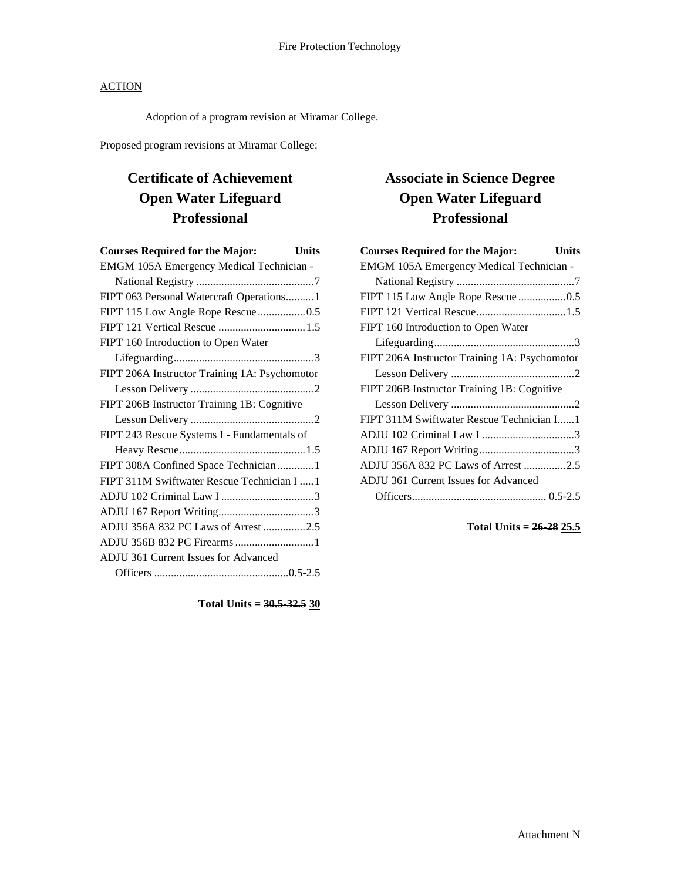Adoption of a program revision at Miramar College.

Proposed program revisions at Miramar College:

# **Certificate of Achievement Open Water Lifeguard Professional**

| <b>Courses Required for the Major:</b><br><b>Units</b> |
|--------------------------------------------------------|
| EMGM 105A Emergency Medical Technician -               |
|                                                        |
| FIPT 063 Personal Watercraft Operations 1              |
| FIPT 115 Low Angle Rope Rescue0.5                      |
|                                                        |
| FIPT 160 Introduction to Open Water                    |
|                                                        |
| FIPT 206A Instructor Training 1A: Psychomotor          |
|                                                        |
| FIPT 206B Instructor Training 1B: Cognitive            |
|                                                        |
| FIPT 243 Rescue Systems I - Fundamentals of            |
|                                                        |
| FIPT 308A Confined Space Technician  1                 |
| FIPT 311M Swiftwater Rescue Technician I  1            |
|                                                        |
|                                                        |
| ADJU 356A 832 PC Laws of Arrest 2.5                    |
| ADJU 356B 832 PC Firearms  1                           |
| <b>ADJU 361 Current Issues for Advanced</b>            |
|                                                        |

**Total Units = 30.5-32.5 30**

## **Associate in Science Degree Open Water Lifeguard Professional**

| <b>Courses Required for the Major:</b><br>Units |
|-------------------------------------------------|
| EMGM 105A Emergency Medical Technician -        |
|                                                 |
| FIPT 115 Low Angle Rope Rescue 0.5              |
|                                                 |
| FIPT 160 Introduction to Open Water             |
|                                                 |
| FIPT 206A Instructor Training 1A: Psychomotor   |
|                                                 |
| FIPT 206B Instructor Training 1B: Cognitive     |
|                                                 |
| FIPT 311M Swiftwater Rescue Technician I1       |
|                                                 |
|                                                 |
| ADJU 356A 832 PC Laws of Arrest 2.5             |
| <b>ADJU 361 Current Issues for Advanced</b>     |
|                                                 |

**Total Units = 26-28 25.5**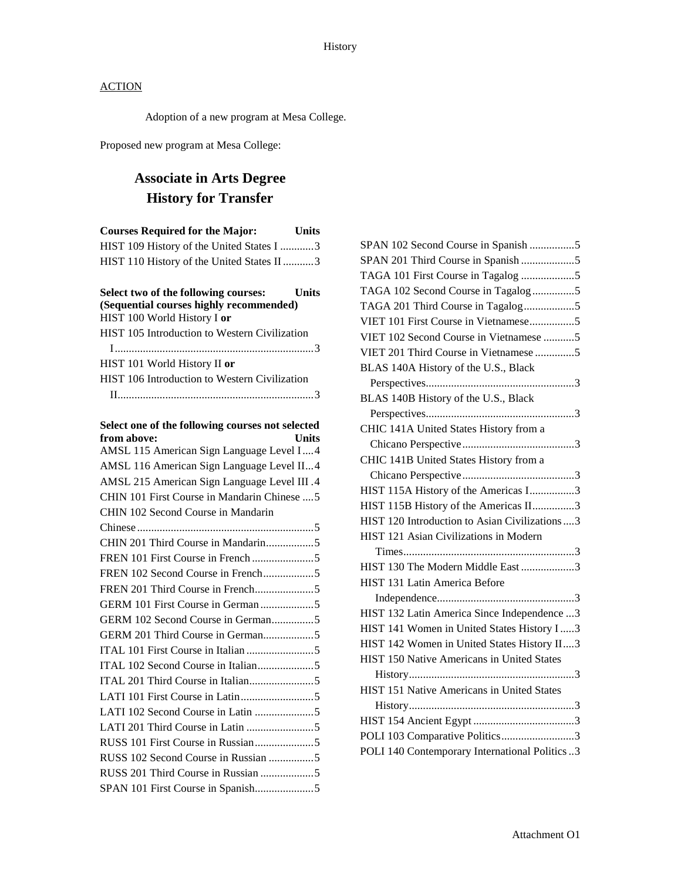Adoption of a new program at Mesa College.

Proposed new program at Mesa College:

## **Associate in Arts Degree History for Transfer**

| <b>Courses Required for the Major:</b>                                       | <b>Units</b> |
|------------------------------------------------------------------------------|--------------|
| HIST 109 History of the United States I 3                                    |              |
| HIST 110 History of the United States II 3                                   |              |
|                                                                              |              |
| Select two of the following courses: Units                                   |              |
| (Sequential courses highly recommended)                                      |              |
| HIST 100 World History I or<br>HIST 105 Introduction to Western Civilization |              |
|                                                                              |              |
|                                                                              |              |
| HIST 101 World History II or                                                 |              |
| HIST 106 Introduction to Western Civilization                                |              |
|                                                                              |              |
| Select one of the following courses not selected                             |              |
| from above:                                                                  | <b>Units</b> |
| AMSL 115 American Sign Language Level I4                                     |              |
| AMSL 116 American Sign Language Level II4                                    |              |
| AMSL 215 American Sign Language Level III .4                                 |              |
| CHIN 101 First Course in Mandarin Chinese  5                                 |              |
| CHIN 102 Second Course in Mandarin                                           |              |
|                                                                              |              |
|                                                                              |              |
|                                                                              |              |
|                                                                              |              |
|                                                                              |              |
|                                                                              |              |
|                                                                              |              |
| GERM 201 Third Course in German5                                             |              |
|                                                                              |              |
|                                                                              |              |
|                                                                              |              |
|                                                                              |              |
|                                                                              |              |
|                                                                              |              |
|                                                                              |              |
|                                                                              |              |
|                                                                              |              |
|                                                                              |              |

| SPAN 102 Second Course in Spanish 5             |
|-------------------------------------------------|
| SPAN 201 Third Course in Spanish 5              |
| TAGA 101 First Course in Tagalog 5              |
| TAGA 102 Second Course in Tagalog5              |
| TAGA 201 Third Course in Tagalog5               |
| VIET 101 First Course in Vietnamese5            |
| VIET 102 Second Course in Vietnamese 5          |
| VIET 201 Third Course in Vietnamese 5           |
| BLAS 140A History of the U.S., Black            |
|                                                 |
| BLAS 140B History of the U.S., Black            |
|                                                 |
| CHIC 141A United States History from a          |
|                                                 |
| CHIC 141B United States History from a          |
|                                                 |
| HIST 115A History of the Americas I3            |
| HIST 115B History of the Americas II3           |
| HIST 120 Introduction to Asian Civilizations  3 |
| HIST 121 Asian Civilizations in Modern          |
|                                                 |
| HIST 130 The Modern Middle East 3               |
| HIST 131 Latin America Before                   |
|                                                 |
| HIST 132 Latin America Since Independence 3     |
| HIST 141 Women in United States History I  3    |
| HIST 142 Women in United States History II3     |
| HIST 150 Native Americans in United States      |
|                                                 |
| HIST 151 Native Americans in United States      |
|                                                 |
|                                                 |
| POLI 103 Comparative Politics3                  |
| POLI 140 Contemporary International Politics3   |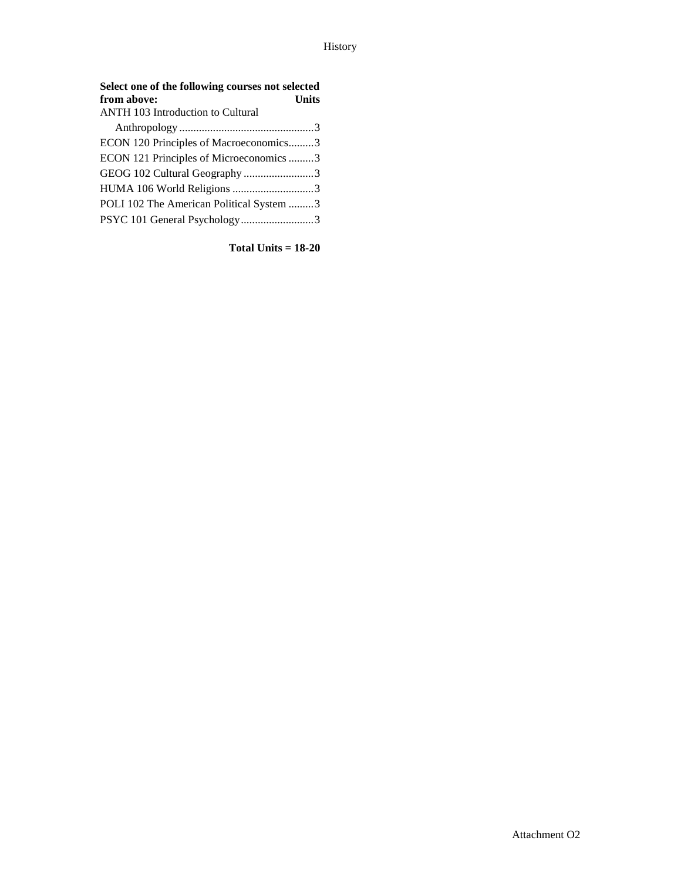| Select one of the following courses not selected<br>from above:<br><b>Units</b> |  |
|---------------------------------------------------------------------------------|--|
| <b>ANTH 103 Introduction to Cultural</b>                                        |  |
|                                                                                 |  |
| ECON 120 Principles of Macroeconomics3                                          |  |
| ECON 121 Principles of Microeconomics 3                                         |  |
| GEOG 102 Cultural Geography 3                                                   |  |
| HUMA 106 World Religions 3                                                      |  |
| POLI 102 The American Political System 3                                        |  |
| PSYC 101 General Psychology3                                                    |  |

**Total Units = 18-20**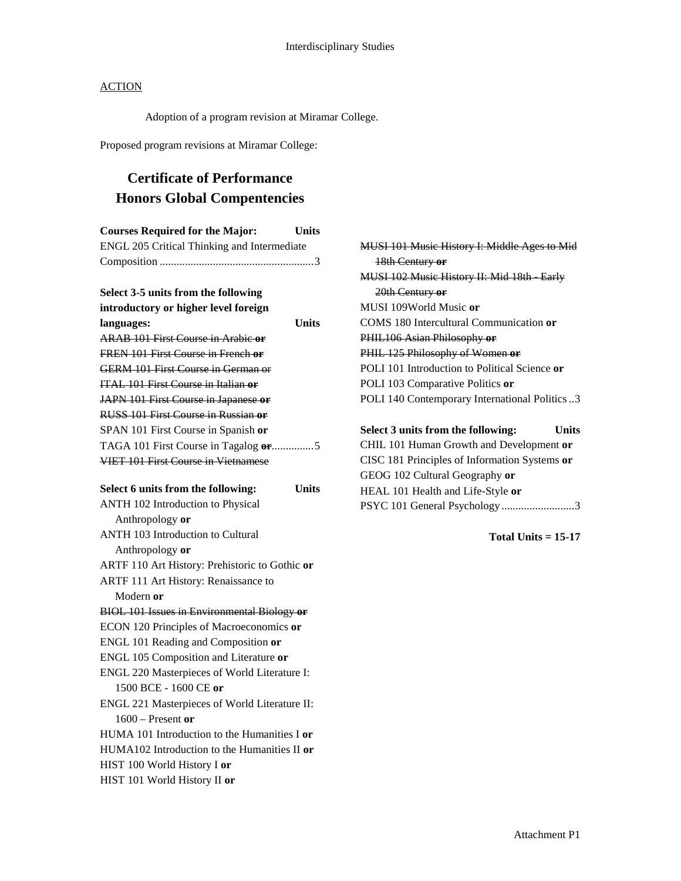Adoption of a program revision at Miramar College.

Proposed program revisions at Miramar College:

## **Certificate of Performance Honors Global Compentencies**

| <b>Courses Required for the Major:</b>             | <b>Units</b> |
|----------------------------------------------------|--------------|
| <b>ENGL 205 Critical Thinking and Intermediate</b> |              |
|                                                    |              |
|                                                    |              |
| Select 3-5 units from the following                |              |
| introductory or higher level foreign               |              |
| languages:                                         | <b>Units</b> |
| <b>ARAB 101 First Course in Arabie or</b>          |              |
| FREN 101 First Course in French or                 |              |
| <b>GERM 101 First Course in German or</b>          |              |
| ITAL 101 First Course in Italian or                |              |
| JAPN 101 First Course in Japanese or               |              |
| RUSS 101 First Course in Russian or                |              |
| SPAN 101 First Course in Spanish or                |              |
| TAGA 101 First Course in Tagalog or5               |              |
| <b>VIET 101 First Course in Vietnamese</b>         |              |
|                                                    |              |
| Select 6 units from the following:                 | <b>Units</b> |
| <b>ANTH 102 Introduction to Physical</b>           |              |
| Anthropology or                                    |              |
| <b>ANTH 103 Introduction to Cultural</b>           |              |
| Anthropology or                                    |              |
| ARTF 110 Art History: Prehistoric to Gothic or     |              |
| ARTF 111 Art History: Renaissance to               |              |
| Modern or                                          |              |
| <b>BIOL 101 Issues in Environmental Biology or</b> |              |
| ECON 120 Principles of Macroeconomics or           |              |
| ENGL 101 Reading and Composition or                |              |
| ENGL 105 Composition and Literature or             |              |
| ENGL 220 Masterpieces of World Literature I:       |              |
| 1500 BCE - 1600 CE or                              |              |
| ENGL 221 Masterpieces of World Literature II:      |              |
| $1600$ – Present or                                |              |
| HUMA 101 Introduction to the Humanities I or       |              |
| HUMA102 Introduction to the Humanities II or       |              |
| HIST 100 World History I or                        |              |
| HIST 101 World History II or                       |              |

MUSI 101 Music History I: Middle Ages to Mid 18th Century **or** MUSI 102 Music History II: Mid 18th Early 20th Century **or** MUSI 109World Music **or** COMS 180 Intercultural Communication **or** PHIL106 Asian Philosophy **or** PHIL 125 Philosophy of Women **or** POLI 101 Introduction to Political Science **or** POLI 103 Comparative Politics **or** POLI 140 Contemporary International Politics..3 **Select 3 units from the following: Units** CHIL 101 Human Growth and Development **or**

CISC 181 Principles of Information Systems **or** GEOG 102 Cultural Geography **or** HEAL 101 Health and Life-Style **or** PSYC 101 General Psychology ..........................3

**Total Units = 15-17**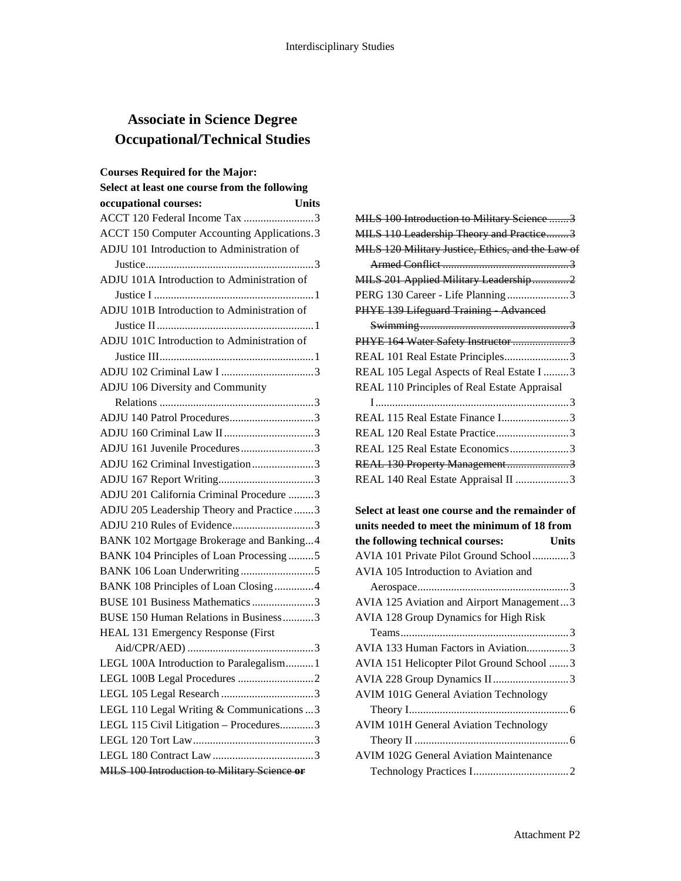## **Associate in Science Degree Occupational/Technical Studies**

| <b>Courses Required for the Major:</b>             |
|----------------------------------------------------|
| Select at least one course from the following      |
| occupational courses:<br><b>Units</b>              |
| ACCT 120 Federal Income Tax 3                      |
| <b>ACCT 150 Computer Accounting Applications.3</b> |
| ADJU 101 Introduction to Administration of         |
|                                                    |
| ADJU 101A Introduction to Administration of        |
|                                                    |
| ADJU 101B Introduction to Administration of        |
|                                                    |
| ADJU 101C Introduction to Administration of        |
|                                                    |
|                                                    |
| ADJU 106 Diversity and Community                   |
|                                                    |
| ADJU 140 Patrol Procedures3                        |
|                                                    |
| ADJU 161 Juvenile Procedures3                      |
| ADJU 162 Criminal Investigation3                   |
|                                                    |
| ADJU 201 California Criminal Procedure 3           |
| ADJU 205 Leadership Theory and Practice 3          |
| ADJU 210 Rules of Evidence3                        |
| BANK 102 Mortgage Brokerage and Banking4           |
| BANK 104 Principles of Loan Processing5            |
|                                                    |
| BANK 108 Principles of Loan Closing4               |
| BUSE 101 Business Mathematics 3                    |
| BUSE 150 Human Relations in Business3              |
| HEAL 131 Emergency Response (First                 |
|                                                    |
| LEGL 100A Introduction to Paralegalism1            |
|                                                    |
|                                                    |
| LEGL 110 Legal Writing & Communications  3         |
| LEGL 115 Civil Litigation - Procedures3            |
|                                                    |
|                                                    |
| MILS 100 Introduction to Military Science or       |

| MILS 100 Introduction to Military Science 3       |
|---------------------------------------------------|
| MILS 110 Leadership Theory and Practice3          |
| MILS 120 Military Justice, Ethics, and the Law of |
|                                                   |
| MILS 201 Applied Military Leadership2             |
| PERG 130 Career - Life Planning3                  |
| PHYE 139 Lifeguard Training Advanced              |
|                                                   |
| PHYE 164 Water Safety Instructor 3                |
| REAL 101 Real Estate Principles3                  |
| REAL 105 Legal Aspects of Real Estate I 3         |
| REAL 110 Principles of Real Estate Appraisal      |
|                                                   |
|                                                   |
| REAL 120 Real Estate Practice3                    |
| REAL 125 Real Estate Economics3                   |
| REAL 130 Property Management3                     |
| REAL 140 Real Estate Appraisal II 3               |
|                                                   |
| Select at least one course and the remainder of   |
| units needed to meet the minimum of 18 from       |
| the following technical courses:<br><b>Units</b>  |
| AVIA 101 Private Pilot Ground School3             |
| AVIA 105 Introduction to Aviation and             |
|                                                   |
| AVIA 125 Aviation and Airport Management3         |
| <b>AVIA 128 Group Dynamics for High Risk</b>      |
|                                                   |
| AVIA 133 Human Factors in Aviation3               |
| AVIA 151 Helicopter Pilot Ground School 3         |
| AVIA 228 Group Dynamics II3                       |
| <b>AVIM 101G General Aviation Technology</b>      |
|                                                   |
| <b>AVIM 101H General Aviation Technology</b>      |

Theory II .......................................................6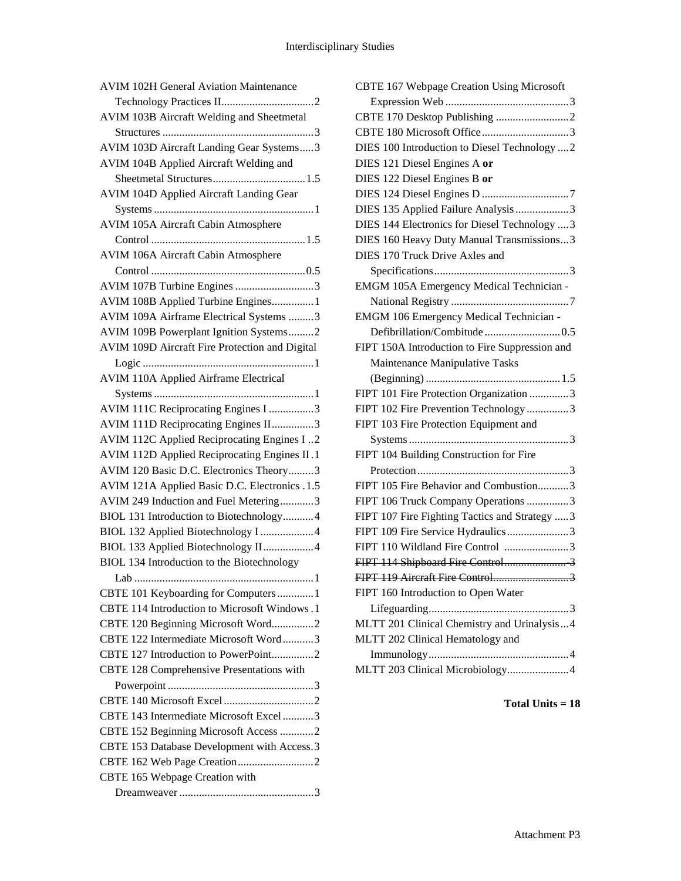| <b>AVIM 102H General Aviation Maintenance</b>     |
|---------------------------------------------------|
|                                                   |
| AVIM 103B Aircraft Welding and Sheetmetal         |
|                                                   |
| AVIM 103D Aircraft Landing Gear Systems3          |
| AVIM 104B Applied Aircraft Welding and            |
|                                                   |
| AVIM 104D Applied Aircraft Landing Gear           |
|                                                   |
| AVIM 105A Aircraft Cabin Atmosphere               |
|                                                   |
| <b>AVIM 106A Aircraft Cabin Atmosphere</b>        |
|                                                   |
| AVIM 107B Turbine Engines 3                       |
| AVIM 108B Applied Turbine Engines1                |
| AVIM 109A Airframe Electrical Systems 3           |
| AVIM 109B Powerplant Ignition Systems2            |
| AVIM 109D Aircraft Fire Protection and Digital    |
|                                                   |
| <b>AVIM 110A Applied Airframe Electrical</b>      |
|                                                   |
| AVIM 111C Reciprocating Engines I 3               |
| AVIM 111D Reciprocating Engines II3               |
| AVIM 112C Applied Reciprocating Engines I2        |
| AVIM 112D Applied Reciprocating Engines II.1      |
| AVIM 120 Basic D.C. Electronics Theory3           |
| AVIM 121A Applied Basic D.C. Electronics .1.5     |
| AVIM 249 Induction and Fuel Metering3             |
| BIOL 131 Introduction to Biotechnology4           |
| BIOL 132 Applied Biotechnology I 4                |
| BIOL 133 Applied Biotechnology II4                |
| <b>BIOL 134 Introduction to the Biotechnology</b> |
| - Lab<br>1                                        |
| CBTE 101 Keyboarding for Computers1               |
| CBTE 114 Introduction to Microsoft Windows .1     |
| CBTE 120 Beginning Microsoft Word2                |
| CBTE 122 Intermediate Microsoft Word3             |
| CBTE 127 Introduction to PowerPoint2              |
|                                                   |
| CBTE 128 Comprehensive Presentations with         |
|                                                   |
|                                                   |
| CBTE 143 Intermediate Microsoft Excel 3           |
| CBTE 152 Beginning Microsoft Access 2             |
| CBTE 153 Database Development with Access.3       |
|                                                   |
| CBTE 165 Webpage Creation with                    |
|                                                   |

| <b>CBTE 167 Webpage Creation Using Microsoft</b> |
|--------------------------------------------------|
|                                                  |
|                                                  |
|                                                  |
| DIES 100 Introduction to Diesel Technology  2    |
| DIES 121 Diesel Engines A or                     |
| DIES 122 Diesel Engines B or                     |
|                                                  |
| DIES 135 Applied Failure Analysis 3              |
| DIES 144 Electronics for Diesel Technology  3    |
| DIES 160 Heavy Duty Manual Transmissions3        |
| DIES 170 Truck Drive Axles and                   |
|                                                  |
| EMGM 105A Emergency Medical Technician -         |
|                                                  |
| EMGM 106 Emergency Medical Technician -          |
|                                                  |
| FIPT 150A Introduction to Fire Suppression and   |
| Maintenance Manipulative Tasks                   |
|                                                  |
| FIPT 101 Fire Protection Organization 3          |
| FIPT 102 Fire Prevention Technology 3            |
| FIPT 103 Fire Protection Equipment and           |
|                                                  |
| FIPT 104 Building Construction for Fire          |
|                                                  |
| FIPT 105 Fire Behavior and Combustion3           |
| FIPT 106 Truck Company Operations 3              |
| FIPT 107 Fire Fighting Tactics and Strategy  3   |
| FIPT 109 Fire Service Hydraulics3                |
| FIPT 110 Wildland Fire Control 3                 |
|                                                  |
| FIPT 119 Aircraft Fire Control3                  |
| FIPT 160 Introduction to Open Water              |
|                                                  |
| MLTT 201 Clinical Chemistry and Urinalysis4      |
| MLTT 202 Clinical Hematology and                 |
|                                                  |
| MLTT 203 Clinical Microbiology4                  |
|                                                  |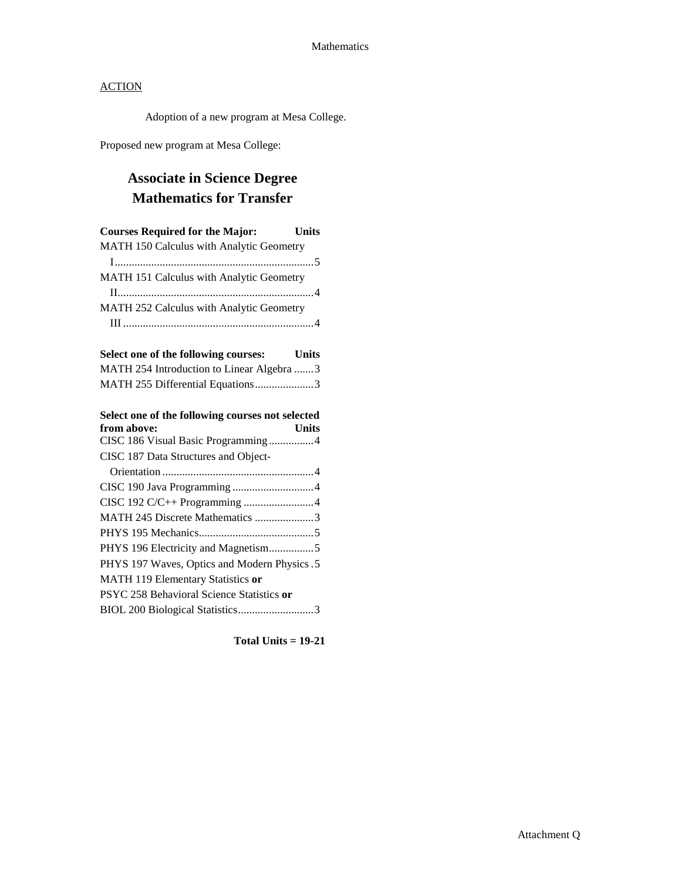Adoption of a new program at Mesa College.

Proposed new program at Mesa College:

## **Associate in Science Degree Mathematics for Transfer**

| <b>Courses Required for the Major:</b> Units         |  |
|------------------------------------------------------|--|
| MATH 150 Calculus with Analytic Geometry             |  |
|                                                      |  |
| MATH 151 Calculus with Analytic Geometry             |  |
|                                                      |  |
| MATH 252 Calculus with Analytic Geometry             |  |
|                                                      |  |
|                                                      |  |
| Select one of the following courses:<br><b>Units</b> |  |
| MATH 254 Introduction to Linear Algebra 3            |  |
| MATH 255 Differential Equations3                     |  |
|                                                      |  |
| Select one of the following courses not selected     |  |
|                                                      |  |
| from above:<br><b>Units</b>                          |  |
| CISC 186 Visual Basic Programming4                   |  |
| CISC 187 Data Structures and Object-                 |  |
|                                                      |  |
| CISC 190 Java Programming 4                          |  |
| CISC 192 C/C++ Programming 4                         |  |
| MATH 245 Discrete Mathematics 3                      |  |
|                                                      |  |
| PHYS 196 Electricity and Magnetism5                  |  |
| PHYS 197 Waves, Optics and Modern Physics .5         |  |
| MATH 119 Elementary Statistics or                    |  |
| PSYC 258 Behavioral Science Statistics or            |  |

**Total Units = 19-21**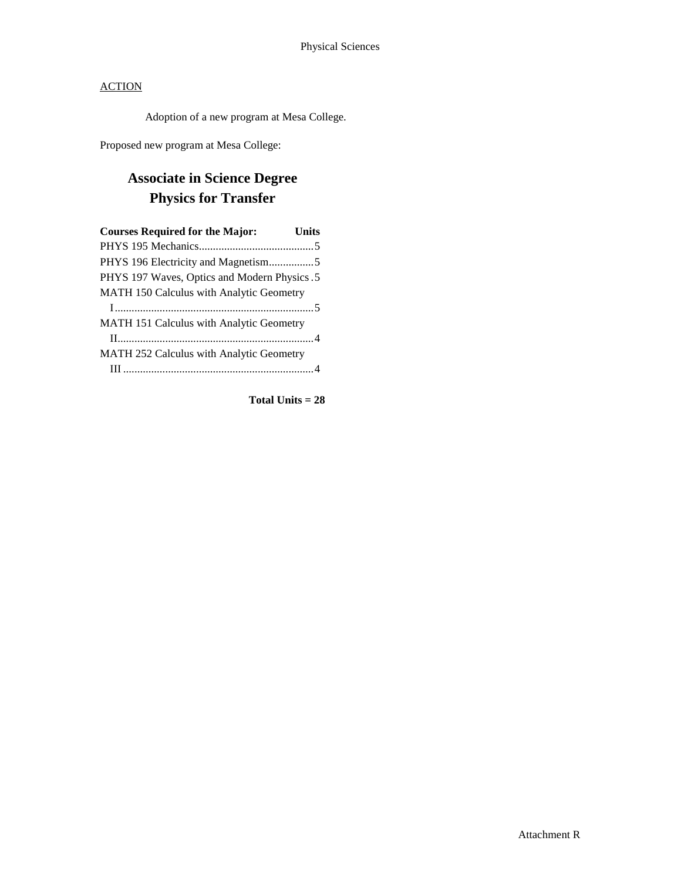Adoption of a new program at Mesa College.

Proposed new program at Mesa College:

## **Associate in Science Degree Physics for Transfer**

| <b>Courses Required for the Major:</b>          | Units |
|-------------------------------------------------|-------|
|                                                 |       |
| PHYS 196 Electricity and Magnetism5             |       |
| PHYS 197 Waves, Optics and Modern Physics .5    |       |
| MATH 150 Calculus with Analytic Geometry        |       |
|                                                 |       |
| <b>MATH 151 Calculus with Analytic Geometry</b> |       |
|                                                 |       |
| MATH 252 Calculus with Analytic Geometry        |       |
|                                                 |       |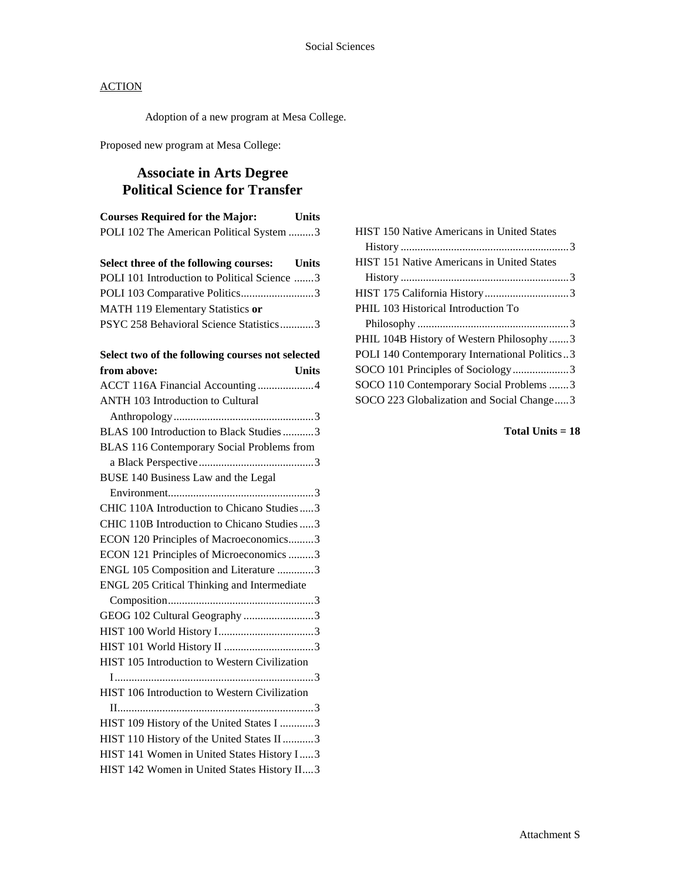Adoption of a new program at Mesa College.

Proposed new program at Mesa College:

## **Associate in Arts Degree Political Science for Transfer**

| <b>Courses Required for the Major:</b>   | <b>Units</b> |
|------------------------------------------|--------------|
| POLI 102 The American Political System 3 |              |

|  | Select three of the following courses: | <b>Units</b> |
|--|----------------------------------------|--------------|
|--|----------------------------------------|--------------|

| POLI 101 Introduction to Political Science 3 |  |
|----------------------------------------------|--|
| POLI 103 Comparative Politics3               |  |
| MATH 119 Elementary Statistics or            |  |
| PSYC 258 Behavioral Science Statistics3      |  |

## **Select two of the following courses not selected**

| from above:                                   | Units |
|-----------------------------------------------|-------|
| ACCT 116A Financial Accounting 4              |       |
| <b>ANTH 103 Introduction to Cultural</b>      |       |
|                                               |       |
| BLAS 100 Introduction to Black Studies3       |       |
| BLAS 116 Contemporary Social Problems from    |       |
|                                               |       |
| BUSE 140 Business Law and the Legal           |       |
|                                               |       |
| CHIC 110A Introduction to Chicano Studies3    |       |
| CHIC 110B Introduction to Chicano Studies  3  |       |
| ECON 120 Principles of Macroeconomics3        |       |
| ECON 121 Principles of Microeconomics 3       |       |
| ENGL 105 Composition and Literature 3         |       |
| ENGL 205 Critical Thinking and Intermediate   |       |
|                                               |       |
| GEOG 102 Cultural Geography 3                 |       |
|                                               |       |
|                                               |       |
| HIST 105 Introduction to Western Civilization |       |
|                                               |       |
| HIST 106 Introduction to Western Civilization |       |
|                                               |       |
| HIST 109 History of the United States I 3     |       |
| HIST 110 History of the United States II 3    |       |
| HIST 141 Women in United States History I3    |       |
| HIST 142 Women in United States History II3   |       |

| <b>HIST 150 Native Americans in United States</b> |  |
|---------------------------------------------------|--|
|                                                   |  |
| <b>HIST 151 Native Americans in United States</b> |  |
|                                                   |  |
|                                                   |  |
| PHIL 103 Historical Introduction To               |  |
|                                                   |  |
| PHIL 104B History of Western Philosophy3          |  |
| POLI 140 Contemporary International Politics3     |  |
| SOCO 101 Principles of Sociology3                 |  |
| SOCO 110 Contemporary Social Problems 3           |  |
| SOCO 223 Globalization and Social Change3         |  |
|                                                   |  |